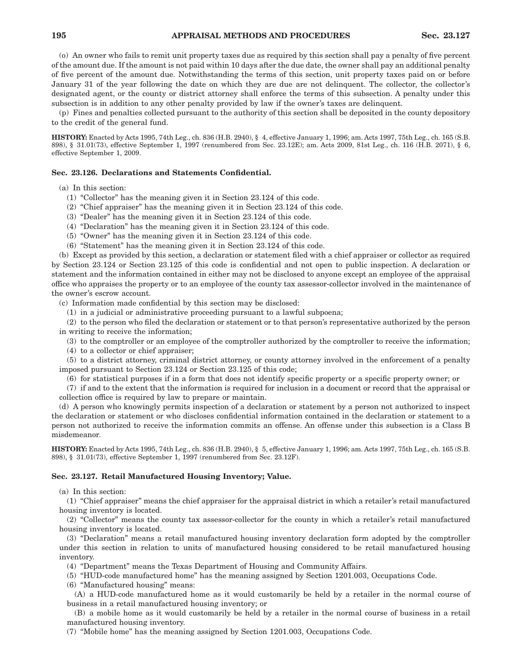(o) An owner who fails to remit unit property taxes due as required by this section shall pay a penalty of five percent of the amount due. If the amount is not paid within 10 days after the due date, the owner shall pay an additional penalty of five percent of the amount due. Notwithstanding the terms of this section, unit property taxes paid on or before January 31 of the year following the date on which they are due are not delinquent. The collector, the collector's designated agent, or the county or district attorney shall enforce the terms of this subsection. A penalty under this subsection is in addition to any other penalty provided by law if the owner's taxes are delinquent.

(p) Fines and penalties collected pursuant to the authority of this section shall be deposited in the county depository to the credit of the general fund.

**HISTORY:** Enacted by Acts 1995, 74th Leg., ch. 836 (H.B. 2940), § 4, effective January 1, 1996; am. Acts 1997, 75th Leg., ch. 165 (S.B. 898), § 31.01(73), effective September 1, 1997 (renumbered from Sec. 23.12E); am. Acts 2009, 81st Leg., ch. 116 (H.B. 2071), § 6, effective September 1, 2009.

## **Sec. 23.126. Declarations and Statements Confidential.**

(a) In this section:

- (1) "Collector" has the meaning given it in Section 23.124 of this code.
- (2) "Chief appraiser" has the meaning given it in Section 23.124 of this code.
- (3) "Dealer" has the meaning given it in Section 23.124 of this code.
- (4) "Declaration" has the meaning given it in Section 23.124 of this code.
- (5) "Owner" has the meaning given it in Section 23.124 of this code.
- (6) "Statement" has the meaning given it in Section 23.124 of this code.

(b) Except as provided by this section, a declaration or statement filed with a chief appraiser or collector as required by Section 23.124 or Section 23.125 of this code is confidential and not open to public inspection. A declaration or statement and the information contained in either may not be disclosed to anyone except an employee of the appraisal office who appraises the property or to an employee of the county tax assessor-collector involved in the maintenance of the owner's escrow account.

(c) Information made confidential by this section may be disclosed:

(1) in a judicial or administrative proceeding pursuant to a lawful subpoena;

(2) to the person who filed the declaration or statement or to that person's representative authorized by the person in writing to receive the information;

(3) to the comptroller or an employee of the comptroller authorized by the comptroller to receive the information;

(4) to a collector or chief appraiser;

(5) to a district attorney, criminal district attorney, or county attorney involved in the enforcement of a penalty imposed pursuant to Section 23.124 or Section 23.125 of this code;

(6) for statistical purposes if in a form that does not identify specific property or a specific property owner; or

(7) if and to the extent that the information is required for inclusion in a document or record that the appraisal or collection office is required by law to prepare or maintain.

(d) A person who knowingly permits inspection of a declaration or statement by a person not authorized to inspect the declaration or statement or who discloses confidential information contained in the declaration or statement to a person not authorized to receive the information commits an offense. An offense under this subsection is a Class B misdemeanor.

**HISTORY:** Enacted by Acts 1995, 74th Leg., ch. 836 (H.B. 2940), § 5, effective January 1, 1996; am. Acts 1997, 75th Leg., ch. 165 (S.B. 898), § 31.01(73), effective September 1, 1997 (renumbered from Sec. 23.12F).

## **Sec. 23.127. Retail Manufactured Housing Inventory; Value.**

(a) In this section:

(1) "Chief appraiser" means the chief appraiser for the appraisal district in which a retailer's retail manufactured housing inventory is located.

(2) "Collector" means the county tax assessor-collector for the county in which a retailer's retail manufactured housing inventory is located.

(3) "Declaration" means a retail manufactured housing inventory declaration form adopted by the comptroller under this section in relation to units of manufactured housing considered to be retail manufactured housing inventory.

(4) "Department" means the Texas Department of Housing and Community Affairs.

(5) "HUD-code manufactured home" has the meaning assigned by Section 1201.003, Occupations Code.

(6) "Manufactured housing" means:

(A) a HUD-code manufactured home as it would customarily be held by a retailer in the normal course of business in a retail manufactured housing inventory; or

(B) a mobile home as it would customarily be held by a retailer in the normal course of business in a retail manufactured housing inventory.

(7) "Mobile home" has the meaning assigned by Section 1201.003, Occupations Code.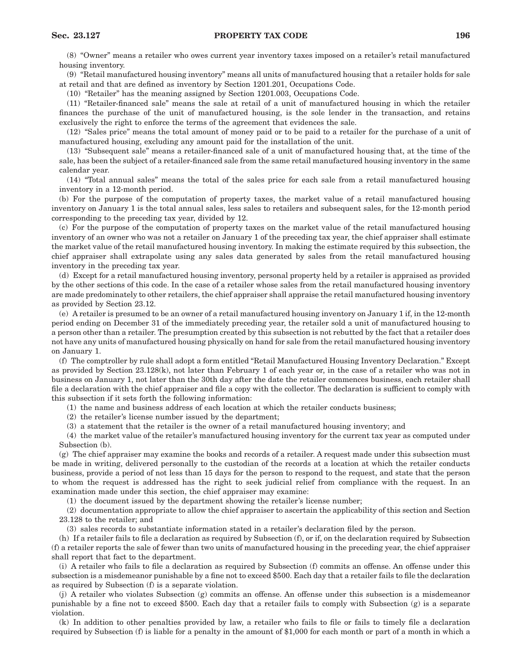(8) "Owner" means a retailer who owes current year inventory taxes imposed on a retailer's retail manufactured housing inventory.

(9) "Retail manufactured housing inventory" means all units of manufactured housing that a retailer holds for sale at retail and that are defined as inventory by Section 1201.201, Occupations Code.

(10) "Retailer" has the meaning assigned by Section 1201.003, Occupations Code.

(11) "Retailer-financed sale" means the sale at retail of a unit of manufactured housing in which the retailer finances the purchase of the unit of manufactured housing, is the sole lender in the transaction, and retains exclusively the right to enforce the terms of the agreement that evidences the sale.

(12) "Sales price" means the total amount of money paid or to be paid to a retailer for the purchase of a unit of manufactured housing, excluding any amount paid for the installation of the unit.

(13) "Subsequent sale" means a retailer-financed sale of a unit of manufactured housing that, at the time of the sale, has been the subject of a retailer-financed sale from the same retail manufactured housing inventory in the same calendar year.

(14) "Total annual sales" means the total of the sales price for each sale from a retail manufactured housing inventory in a 12-month period.

(b) For the purpose of the computation of property taxes, the market value of a retail manufactured housing inventory on January 1 is the total annual sales, less sales to retailers and subsequent sales, for the 12-month period corresponding to the preceding tax year, divided by 12.

(c) For the purpose of the computation of property taxes on the market value of the retail manufactured housing inventory of an owner who was not a retailer on January 1 of the preceding tax year, the chief appraiser shall estimate the market value of the retail manufactured housing inventory. In making the estimate required by this subsection, the chief appraiser shall extrapolate using any sales data generated by sales from the retail manufactured housing inventory in the preceding tax year.

(d) Except for a retail manufactured housing inventory, personal property held by a retailer is appraised as provided by the other sections of this code. In the case of a retailer whose sales from the retail manufactured housing inventory are made predominately to other retailers, the chief appraiser shall appraise the retail manufactured housing inventory as provided by Section 23.12.

(e) A retailer is presumed to be an owner of a retail manufactured housing inventory on January 1 if, in the 12-month period ending on December 31 of the immediately preceding year, the retailer sold a unit of manufactured housing to a person other than a retailer. The presumption created by this subsection is not rebutted by the fact that a retailer does not have any units of manufactured housing physically on hand for sale from the retail manufactured housing inventory on January 1.

(f) The comptroller by rule shall adopt a form entitled "Retail Manufactured Housing Inventory Declaration." Except as provided by Section 23.128(k), not later than February 1 of each year or, in the case of a retailer who was not in business on January 1, not later than the 30th day after the date the retailer commences business, each retailer shall file a declaration with the chief appraiser and file a copy with the collector. The declaration is sufficient to comply with this subsection if it sets forth the following information:

(1) the name and business address of each location at which the retailer conducts business;

(2) the retailer's license number issued by the department;

(3) a statement that the retailer is the owner of a retail manufactured housing inventory; and

(4) the market value of the retailer's manufactured housing inventory for the current tax year as computed under Subsection (b).

(g) The chief appraiser may examine the books and records of a retailer. A request made under this subsection must be made in writing, delivered personally to the custodian of the records at a location at which the retailer conducts business, provide a period of not less than 15 days for the person to respond to the request, and state that the person to whom the request is addressed has the right to seek judicial relief from compliance with the request. In an examination made under this section, the chief appraiser may examine:

(1) the document issued by the department showing the retailer's license number;

(2) documentation appropriate to allow the chief appraiser to ascertain the applicability of this section and Section 23.128 to the retailer; and

(3) sales records to substantiate information stated in a retailer's declaration filed by the person.

(h) If a retailer fails to file a declaration as required by Subsection (f), or if, on the declaration required by Subsection (f) a retailer reports the sale of fewer than two units of manufactured housing in the preceding year, the chief appraiser shall report that fact to the department.

(i) A retailer who fails to file a declaration as required by Subsection (f) commits an offense. An offense under this subsection is a misdemeanor punishable by a fine not to exceed \$500. Each day that a retailer fails to file the declaration as required by Subsection (f) is a separate violation.

(j) A retailer who violates Subsection (g) commits an offense. An offense under this subsection is a misdemeanor punishable by a fine not to exceed \$500. Each day that a retailer fails to comply with Subsection (g) is a separate violation.

(k) In addition to other penalties provided by law, a retailer who fails to file or fails to timely file a declaration required by Subsection (f) is liable for a penalty in the amount of \$1,000 for each month or part of a month in which a